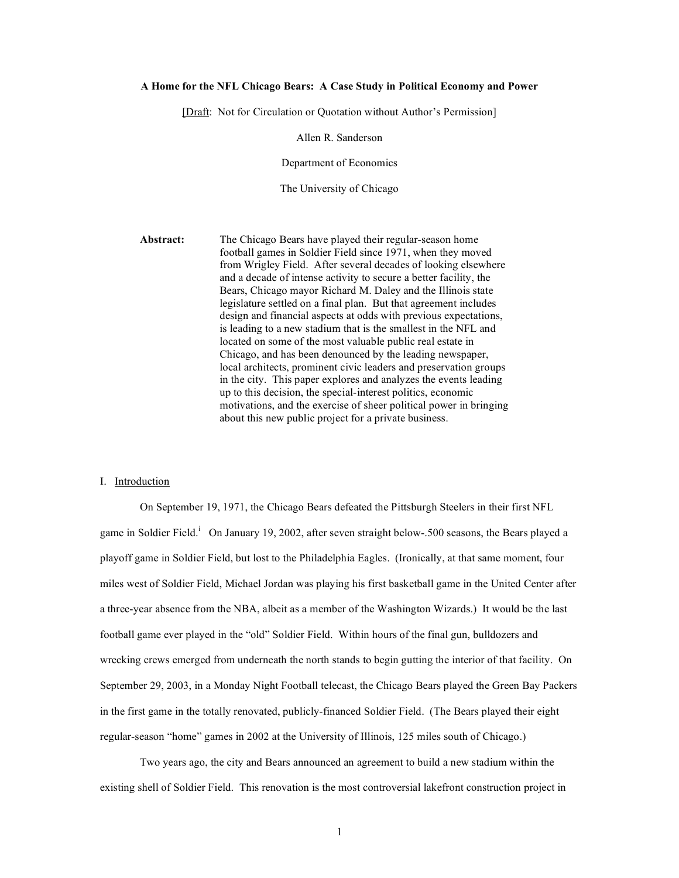### **A Home for the NFL Chicago Bears: A Case Study in Political Economy and Power**

[Draft: Not for Circulation or Quotation without Author's Permission]

Allen R. Sanderson

Department of Economics

The University of Chicago

**Abstract:** The Chicago Bears have played their regular-season home football games in Soldier Field since 1971, when they moved from Wrigley Field. After several decades of looking elsewhere and a decade of intense activity to secure a better facility, the Bears, Chicago mayor Richard M. Daley and the Illinois state legislature settled on a final plan. But that agreement includes design and financial aspects at odds with previous expectations, is leading to a new stadium that is the smallest in the NFL and located on some of the most valuable public real estate in Chicago, and has been denounced by the leading newspaper, local architects, prominent civic leaders and preservation groups in the city. This paper explores and analyzes the events leading up to this decision, the special-interest politics, economic motivations, and the exercise of sheer political power in bringing about this new public project for a private business.

### I. Introduction

On September 19, 1971, the Chicago Bears defeated the Pittsburgh Steelers in their first NFL game in Soldier Field.<sup>i</sup> On January 19, 2002, after seven straight below-.500 seasons, the Bears played a playoff game in Soldier Field, but lost to the Philadelphia Eagles. (Ironically, at that same moment, four miles west of Soldier Field, Michael Jordan was playing his first basketball game in the United Center after a three-year absence from the NBA, albeit as a member of the Washington Wizards.) It would be the last football game ever played in the "old" Soldier Field. Within hours of the final gun, bulldozers and wrecking crews emerged from underneath the north stands to begin gutting the interior of that facility. On September 29, 2003, in a Monday Night Football telecast, the Chicago Bears played the Green Bay Packers in the first game in the totally renovated, publicly-financed Soldier Field. (The Bears played their eight regular-season "home" games in 2002 at the University of Illinois, 125 miles south of Chicago.)

Two years ago, the city and Bears announced an agreement to build a new stadium within the existing shell of Soldier Field. This renovation is the most controversial lakefront construction project in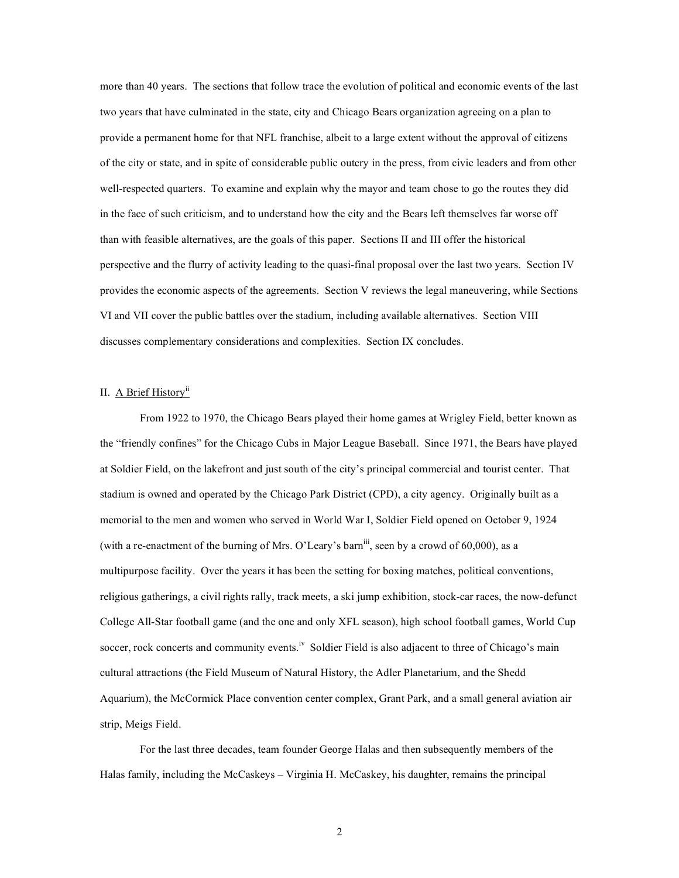more than 40 years. The sections that follow trace the evolution of political and economic events of the last two years that have culminated in the state, city and Chicago Bears organization agreeing on a plan to provide a permanent home for that NFL franchise, albeit to a large extent without the approval of citizens of the city or state, and in spite of considerable public outcry in the press, from civic leaders and from other well-respected quarters. To examine and explain why the mayor and team chose to go the routes they did in the face of such criticism, and to understand how the city and the Bears left themselves far worse off than with feasible alternatives, are the goals of this paper. Sections II and III offer the historical perspective and the flurry of activity leading to the quasi-final proposal over the last two years. Section IV provides the economic aspects of the agreements. Section V reviews the legal maneuvering, while Sections VI and VII cover the public battles over the stadium, including available alternatives. Section VIII discusses complementary considerations and complexities. Section IX concludes.

## II. A Brief History<sup>ii</sup>

From 1922 to 1970, the Chicago Bears played their home games at Wrigley Field, better known as the "friendly confines" for the Chicago Cubs in Major League Baseball. Since 1971, the Bears have played at Soldier Field, on the lakefront and just south of the city's principal commercial and tourist center. That stadium is owned and operated by the Chicago Park District (CPD), a city agency. Originally built as a memorial to the men and women who served in World War I, Soldier Field opened on October 9, 1924 (with a re-enactment of the burning of Mrs. O'Leary's barn<sup>iii</sup>, seen by a crowd of 60,000), as a multipurpose facility. Over the years it has been the setting for boxing matches, political conventions, religious gatherings, a civil rights rally, track meets, a ski jump exhibition, stock-car races, the now-defunct College All-Star football game (and the one and only XFL season), high school football games, World Cup soccer, rock concerts and community events.<sup>iv</sup> Soldier Field is also adjacent to three of Chicago's main cultural attractions (the Field Museum of Natural History, the Adler Planetarium, and the Shedd Aquarium), the McCormick Place convention center complex, Grant Park, and a small general aviation air strip, Meigs Field.

For the last three decades, team founder George Halas and then subsequently members of the Halas family, including the McCaskeys – Virginia H. McCaskey, his daughter, remains the principal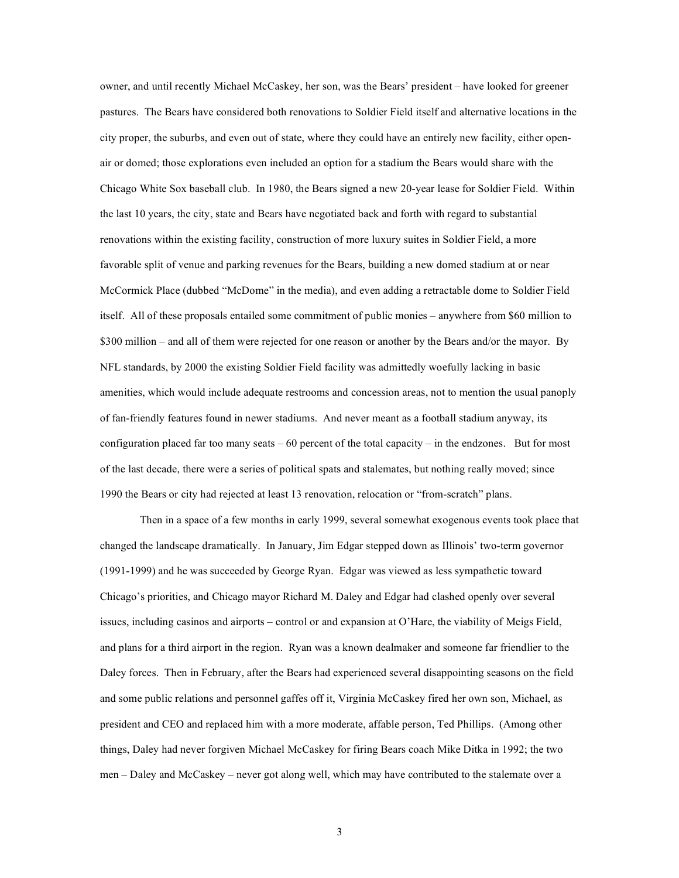owner, and until recently Michael McCaskey, her son, was the Bears' president – have looked for greener pastures. The Bears have considered both renovations to Soldier Field itself and alternative locations in the city proper, the suburbs, and even out of state, where they could have an entirely new facility, either openair or domed; those explorations even included an option for a stadium the Bears would share with the Chicago White Sox baseball club. In 1980, the Bears signed a new 20-year lease for Soldier Field. Within the last 10 years, the city, state and Bears have negotiated back and forth with regard to substantial renovations within the existing facility, construction of more luxury suites in Soldier Field, a more favorable split of venue and parking revenues for the Bears, building a new domed stadium at or near McCormick Place (dubbed "McDome" in the media), and even adding a retractable dome to Soldier Field itself. All of these proposals entailed some commitment of public monies – anywhere from \$60 million to \$300 million – and all of them were rejected for one reason or another by the Bears and/or the mayor. By NFL standards, by 2000 the existing Soldier Field facility was admittedly woefully lacking in basic amenities, which would include adequate restrooms and concession areas, not to mention the usual panoply of fan-friendly features found in newer stadiums. And never meant as a football stadium anyway, its configuration placed far too many seats  $-60$  percent of the total capacity – in the endzones. But for most of the last decade, there were a series of political spats and stalemates, but nothing really moved; since 1990 the Bears or city had rejected at least 13 renovation, relocation or "from-scratch" plans.

Then in a space of a few months in early 1999, several somewhat exogenous events took place that changed the landscape dramatically. In January, Jim Edgar stepped down as Illinois' two-term governor (1991-1999) and he was succeeded by George Ryan. Edgar was viewed as less sympathetic toward Chicago's priorities, and Chicago mayor Richard M. Daley and Edgar had clashed openly over several issues, including casinos and airports – control or and expansion at O'Hare, the viability of Meigs Field, and plans for a third airport in the region. Ryan was a known dealmaker and someone far friendlier to the Daley forces. Then in February, after the Bears had experienced several disappointing seasons on the field and some public relations and personnel gaffes off it, Virginia McCaskey fired her own son, Michael, as president and CEO and replaced him with a more moderate, affable person, Ted Phillips. (Among other things, Daley had never forgiven Michael McCaskey for firing Bears coach Mike Ditka in 1992; the two men – Daley and McCaskey – never got along well, which may have contributed to the stalemate over a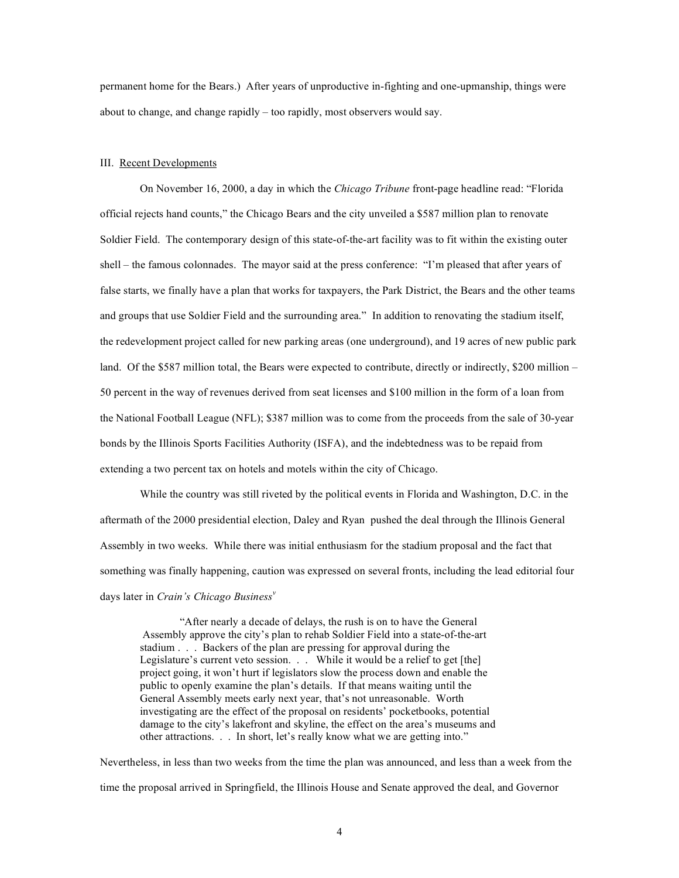permanent home for the Bears.) After years of unproductive in-fighting and one-upmanship, things were about to change, and change rapidly – too rapidly, most observers would say.

### III. Recent Developments

On November 16, 2000, a day in which the *Chicago Tribune* front-page headline read: "Florida official rejects hand counts," the Chicago Bears and the city unveiled a \$587 million plan to renovate Soldier Field. The contemporary design of this state-of-the-art facility was to fit within the existing outer shell – the famous colonnades. The mayor said at the press conference: "I'm pleased that after years of false starts, we finally have a plan that works for taxpayers, the Park District, the Bears and the other teams and groups that use Soldier Field and the surrounding area." In addition to renovating the stadium itself, the redevelopment project called for new parking areas (one underground), and 19 acres of new public park land. Of the \$587 million total, the Bears were expected to contribute, directly or indirectly, \$200 million – 50 percent in the way of revenues derived from seat licenses and \$100 million in the form of a loan from the National Football League (NFL); \$387 million was to come from the proceeds from the sale of 30-year bonds by the Illinois Sports Facilities Authority (ISFA), and the indebtedness was to be repaid from extending a two percent tax on hotels and motels within the city of Chicago.

While the country was still riveted by the political events in Florida and Washington, D.C. in the aftermath of the 2000 presidential election, Daley and Ryan pushed the deal through the Illinois General Assembly in two weeks. While there was initial enthusiasm for the stadium proposal and the fact that something was finally happening, caution was expressed on several fronts, including the lead editorial four days later in *Crain's Chicago Business v*

"After nearly a decade of delays, the rush is on to have the General Assembly approve the city's plan to rehab Soldier Field into a state-of-the-art stadium . . . Backers of the plan are pressing for approval during the Legislature's current veto session. . . While it would be a relief to get [the] project going, it won't hurt if legislators slow the process down and enable the public to openly examine the plan's details. If that means waiting until the General Assembly meets early next year, that's not unreasonable. Worth investigating are the effect of the proposal on residents' pocketbooks, potential damage to the city's lakefront and skyline, the effect on the area's museums and other attractions. . . In short, let's really know what we are getting into."

Nevertheless, in less than two weeks from the time the plan was announced, and less than a week from the time the proposal arrived in Springfield, the Illinois House and Senate approved the deal, and Governor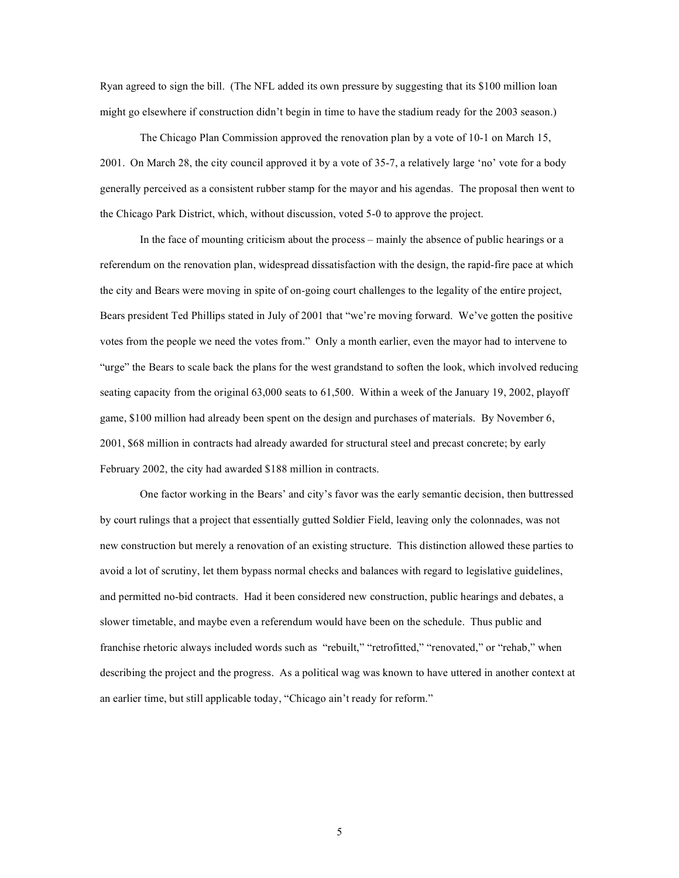Ryan agreed to sign the bill. (The NFL added its own pressure by suggesting that its \$100 million loan might go elsewhere if construction didn't begin in time to have the stadium ready for the 2003 season.)

The Chicago Plan Commission approved the renovation plan by a vote of 10-1 on March 15, 2001. On March 28, the city council approved it by a vote of 35-7, a relatively large 'no' vote for a body generally perceived as a consistent rubber stamp for the mayor and his agendas. The proposal then went to the Chicago Park District, which, without discussion, voted 5-0 to approve the project.

In the face of mounting criticism about the process – mainly the absence of public hearings or a referendum on the renovation plan, widespread dissatisfaction with the design, the rapid-fire pace at which the city and Bears were moving in spite of on-going court challenges to the legality of the entire project, Bears president Ted Phillips stated in July of 2001 that "we're moving forward. We've gotten the positive votes from the people we need the votes from." Only a month earlier, even the mayor had to intervene to "urge" the Bears to scale back the plans for the west grandstand to soften the look, which involved reducing seating capacity from the original 63,000 seats to 61,500. Within a week of the January 19, 2002, playoff game, \$100 million had already been spent on the design and purchases of materials. By November 6, 2001, \$68 million in contracts had already awarded for structural steel and precast concrete; by early February 2002, the city had awarded \$188 million in contracts.

One factor working in the Bears' and city's favor was the early semantic decision, then buttressed by court rulings that a project that essentially gutted Soldier Field, leaving only the colonnades, was not new construction but merely a renovation of an existing structure. This distinction allowed these parties to avoid a lot of scrutiny, let them bypass normal checks and balances with regard to legislative guidelines, and permitted no-bid contracts. Had it been considered new construction, public hearings and debates, a slower timetable, and maybe even a referendum would have been on the schedule. Thus public and franchise rhetoric always included words such as "rebuilt," "retrofitted," "renovated," or "rehab," when describing the project and the progress. As a political wag was known to have uttered in another context at an earlier time, but still applicable today, "Chicago ain't ready for reform."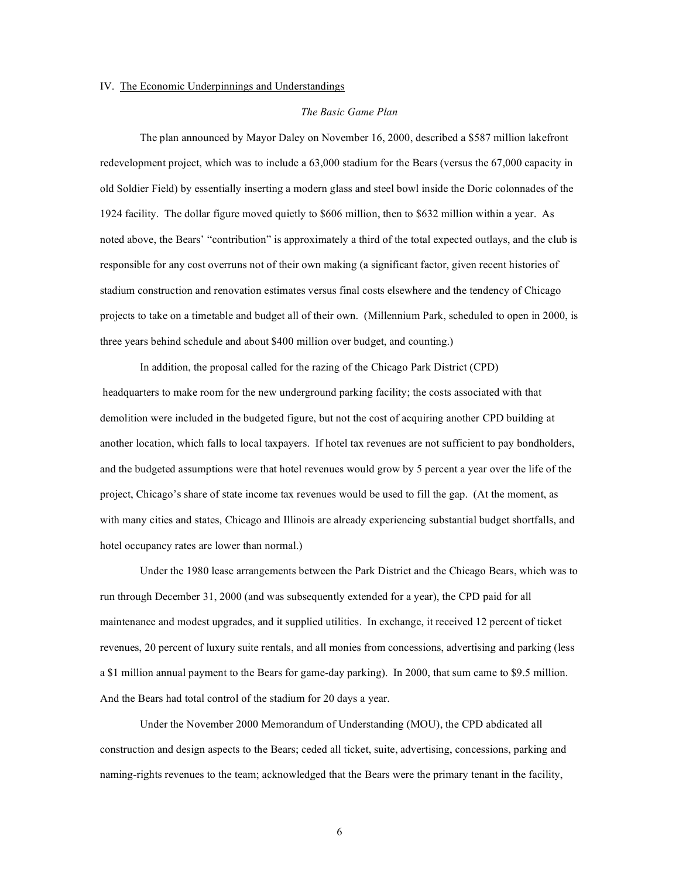## IV. The Economic Underpinnings and Understandings

## *The Basic Game Plan*

The plan announced by Mayor Daley on November 16, 2000, described a \$587 million lakefront redevelopment project, which was to include a 63,000 stadium for the Bears (versus the 67,000 capacity in old Soldier Field) by essentially inserting a modern glass and steel bowl inside the Doric colonnades of the 1924 facility. The dollar figure moved quietly to \$606 million, then to \$632 million within a year. As noted above, the Bears' "contribution" is approximately a third of the total expected outlays, and the club is responsible for any cost overruns not of their own making (a significant factor, given recent histories of stadium construction and renovation estimates versus final costs elsewhere and the tendency of Chicago projects to take on a timetable and budget all of their own. (Millennium Park, scheduled to open in 2000, is three years behind schedule and about \$400 million over budget, and counting.)

In addition, the proposal called for the razing of the Chicago Park District (CPD) headquarters to make room for the new underground parking facility; the costs associated with that demolition were included in the budgeted figure, but not the cost of acquiring another CPD building at another location, which falls to local taxpayers. If hotel tax revenues are not sufficient to pay bondholders, and the budgeted assumptions were that hotel revenues would grow by 5 percent a year over the life of the project, Chicago's share of state income tax revenues would be used to fill the gap. (At the moment, as with many cities and states, Chicago and Illinois are already experiencing substantial budget shortfalls, and hotel occupancy rates are lower than normal.)

Under the 1980 lease arrangements between the Park District and the Chicago Bears, which was to run through December 31, 2000 (and was subsequently extended for a year), the CPD paid for all maintenance and modest upgrades, and it supplied utilities. In exchange, it received 12 percent of ticket revenues, 20 percent of luxury suite rentals, and all monies from concessions, advertising and parking (less a \$1 million annual payment to the Bears for game-day parking). In 2000, that sum came to \$9.5 million. And the Bears had total control of the stadium for 20 days a year.

Under the November 2000 Memorandum of Understanding (MOU), the CPD abdicated all construction and design aspects to the Bears; ceded all ticket, suite, advertising, concessions, parking and naming-rights revenues to the team; acknowledged that the Bears were the primary tenant in the facility,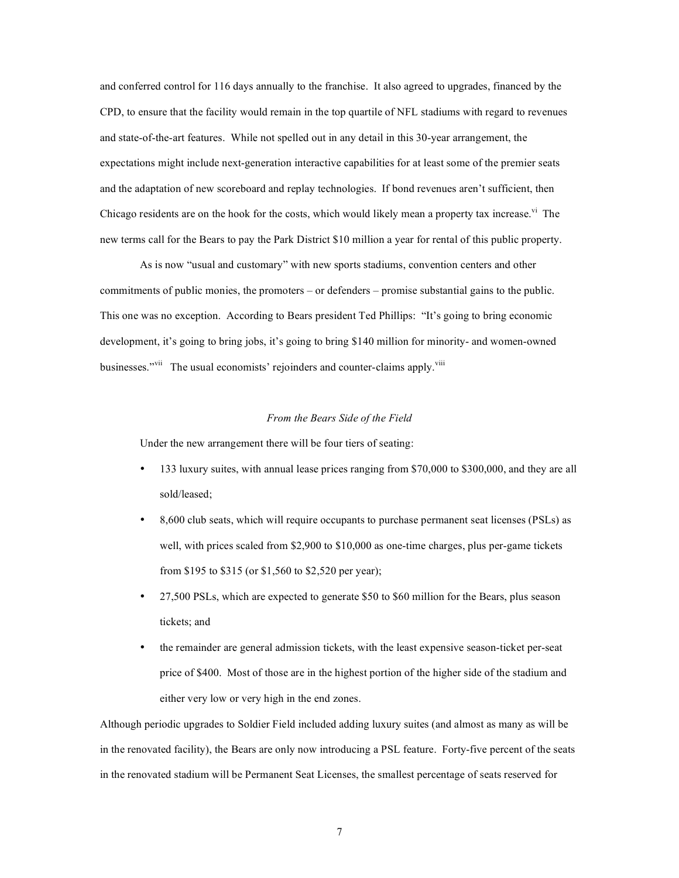and conferred control for 116 days annually to the franchise. It also agreed to upgrades, financed by the CPD, to ensure that the facility would remain in the top quartile of NFL stadiums with regard to revenues and state-of-the-art features. While not spelled out in any detail in this 30-year arrangement, the expectations might include next-generation interactive capabilities for at least some of the premier seats and the adaptation of new scoreboard and replay technologies. If bond revenues aren't sufficient, then Chicago residents are on the hook for the costs, which would likely mean a property tax increase.<sup>vi</sup> The new terms call for the Bears to pay the Park District \$10 million a year for rental of this public property.

As is now "usual and customary" with new sports stadiums, convention centers and other commitments of public monies, the promoters – or defenders – promise substantial gains to the public. This one was no exception. According to Bears president Ted Phillips: "It's going to bring economic development, it's going to bring jobs, it's going to bring \$140 million for minority- and women-owned businesses."<sup>vii</sup> The usual economists' rejoinders and counter-claims apply.<sup>viii</sup>

### *From the Bears Side of the Field*

Under the new arrangement there will be four tiers of seating:

- 133 luxury suites, with annual lease prices ranging from \$70,000 to \$300,000, and they are all sold/leased;
- 8,600 club seats, which will require occupants to purchase permanent seat licenses (PSLs) as well, with prices scaled from \$2,900 to \$10,000 as one-time charges, plus per-game tickets from \$195 to \$315 (or \$1,560 to \$2,520 per year);
- 27,500 PSLs, which are expected to generate \$50 to \$60 million for the Bears, plus season tickets; and
- the remainder are general admission tickets, with the least expensive season-ticket per-seat price of \$400. Most of those are in the highest portion of the higher side of the stadium and either very low or very high in the end zones.

Although periodic upgrades to Soldier Field included adding luxury suites (and almost as many as will be in the renovated facility), the Bears are only now introducing a PSL feature. Forty-five percent of the seats in the renovated stadium will be Permanent Seat Licenses, the smallest percentage of seats reserved for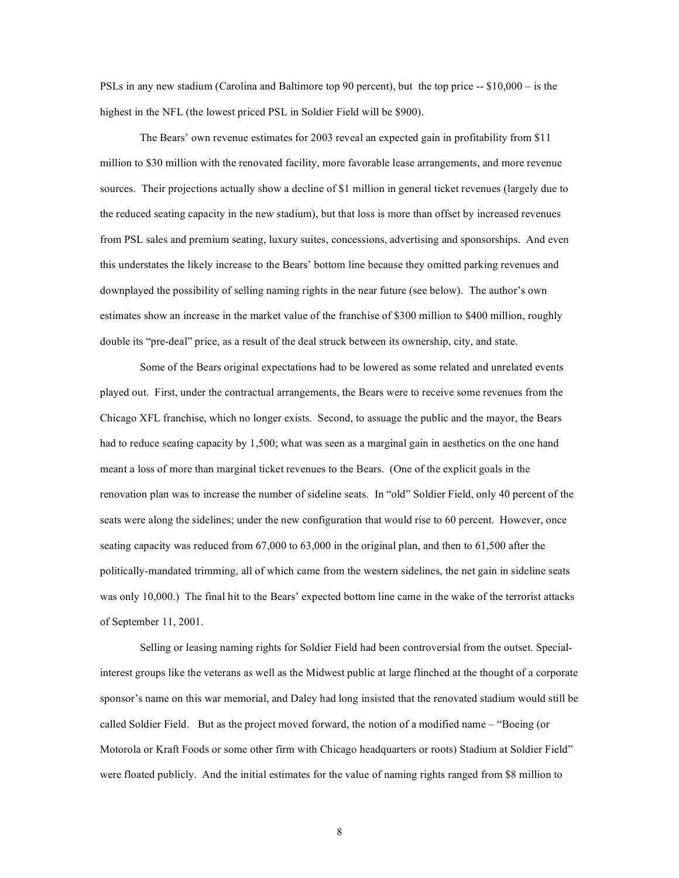PSLs in any new stadium (Carolina and Baltimore top 90 percent), but the top price -- \$10,000 – is the highest in the NFL (the lowest priced PSL in Soldier Field will be \$900).

The Bears' own revenue estimates for 2003 reveal an expected gain in profitability from \$11 million to \$30 million with the renovated facility, more favorable lease arrangements, and more revenue sources. Their projections actually show a decline of \$1 million in general ticket revenues (largely due to the reduced seating capacity in the new stadium), but that loss is more than offset by increased revenues from PSL sales and premium seating, luxury suites, concessions, advertising and sponsorships. And even this understates the likely increase to the Bears' bottom line because they omitted parking revenues and downplayed the possibility of selling naming rights in the near future (see below). The author's own estimates show an increase in the market value of the franchise of \$300 million to \$400 million, roughly double its "pre-deal" price, as a result of the deal struck between its ownership, city, and state.

Some of the Bears original expectations had to be lowered as some related and unrelated events played out. First, under the contractual arrangements, the Bears were to receive some revenues from the Chicago XFL franchise, which no longer exists. Second, to assuage the public and the mayor, the Bears had to reduce seating capacity by 1,500; what was seen as a marginal gain in aesthetics on the one hand meant a loss of more than marginal ticket revenues to the Bears. (One of the explicit goals in the renovation plan was to increase the number of sideline seats. In "old" Soldier Field, only 40 percent of the seats were along the sidelines; under the new configuration that would rise to 60 percent. However, once seating capacity was reduced from 67,000 to 63,000 in the original plan, and then to 61,500 after the politically-mandated trimming, all of which came from the western sidelines, the net gain in sideline seats was only 10,000.) The final hit to the Bears' expected bottom line came in the wake of the terrorist attacks of September 11, 2001.

Selling or leasing naming rights for Soldier Field had been controversial from the outset. Specialinterest groups like the veterans as well as the Midwest public at large flinched at the thought of a corporate sponsor's name on this war memorial, and Daley had long insisted that the renovated stadium would still be called Soldier Field. But as the project moved forward, the notion of a modified name – "Boeing (or Motorola or Kraft Foods or some other firm with Chicago headquarters or roots) Stadium at Soldier Field" were floated publicly. And the initial estimates for the value of naming rights ranged from \$8 million to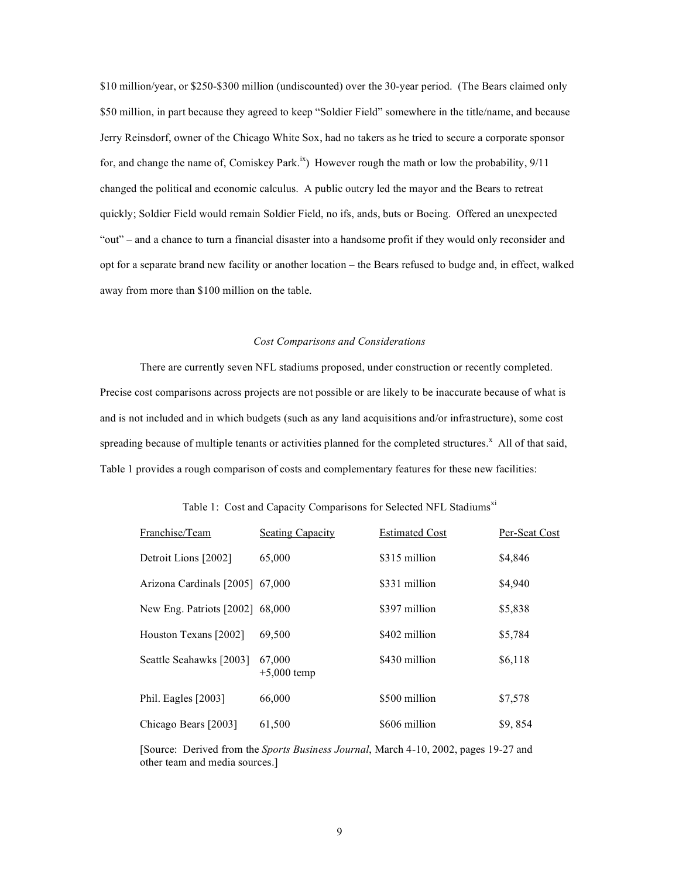\$10 million/year, or \$250-\$300 million (undiscounted) over the 30-year period. (The Bears claimed only \$50 million, in part because they agreed to keep "Soldier Field" somewhere in the title/name, and because Jerry Reinsdorf, owner of the Chicago White Sox, had no takers as he tried to secure a corporate sponsor for, and change the name of, Comiskey Park.<sup>ix</sup>) However rough the math or low the probability,  $9/11$ changed the political and economic calculus. A public outcry led the mayor and the Bears to retreat quickly; Soldier Field would remain Soldier Field, no ifs, ands, buts or Boeing. Offered an unexpected "out" – and a chance to turn a financial disaster into a handsome profit if they would only reconsider and opt for a separate brand new facility or another location – the Bears refused to budge and, in effect, walked away from more than \$100 million on the table.

## *Cost Comparisons and Considerations*

There are currently seven NFL stadiums proposed, under construction or recently completed. Precise cost comparisons across projects are not possible or are likely to be inaccurate because of what is and is not included and in which budgets (such as any land acquisitions and/or infrastructure), some cost spreading because of multiple tenants or activities planned for the completed structures.<sup>x</sup> All of that said, Table 1 provides a rough comparison of costs and complementary features for these new facilities:

| Franchise/Team                  | <b>Seating Capacity</b> | <b>Estimated Cost</b> | Per-Seat Cost |
|---------------------------------|-------------------------|-----------------------|---------------|
| Detroit Lions [2002]            | 65,000                  | \$315 million         | \$4,846       |
| Arizona Cardinals [2005] 67,000 |                         | \$331 million         | \$4,940       |
| New Eng. Patriots [2002] 68,000 |                         | \$397 million         | \$5,838       |
| Houston Texans [2002]           | 69,500                  | \$402 million         | \$5,784       |
| Seattle Seahawks [2003]         | 67,000<br>$+5,000$ temp | \$430 million         | \$6,118       |
| Phil. Eagles [2003]             | 66,000                  | \$500 million         | \$7,578       |
| Chicago Bears [2003]            | 61,500                  | \$606 million         | \$9,854       |

Table 1: Cost and Capacity Comparisons for Selected NFL Stadiums<sup>xi</sup>

[Source: Derived from the *Sports Business Journal*, March 4-10, 2002, pages 19-27 and other team and media sources.]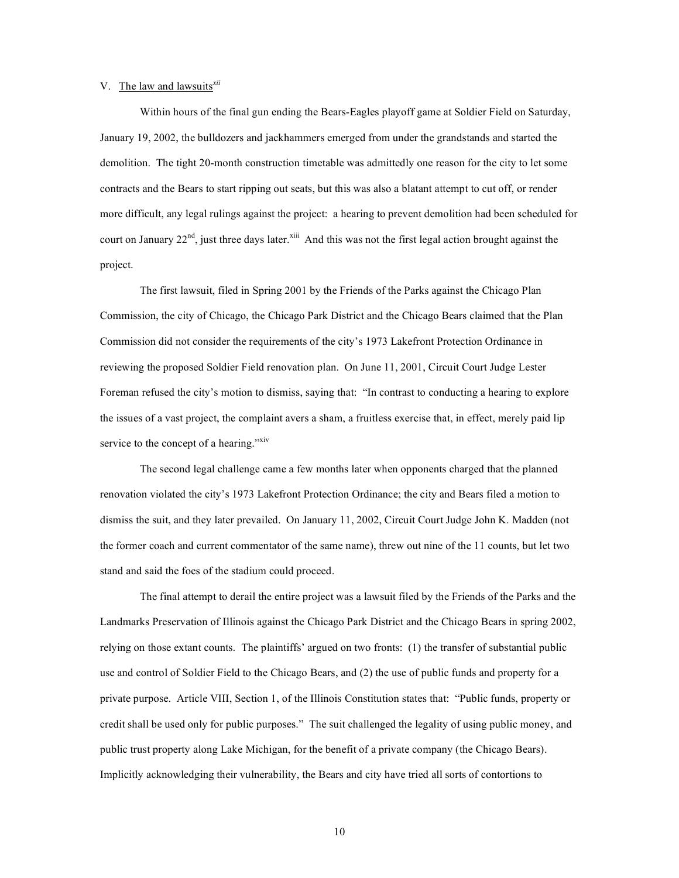# V. The law and lawsuits<sup>xii</sup>

Within hours of the final gun ending the Bears-Eagles playoff game at Soldier Field on Saturday, January 19, 2002, the bulldozers and jackhammers emerged from under the grandstands and started the demolition. The tight 20-month construction timetable was admittedly one reason for the city to let some contracts and the Bears to start ripping out seats, but this was also a blatant attempt to cut off, or render more difficult, any legal rulings against the project: a hearing to prevent demolition had been scheduled for court on January  $22^{nd}$ , just three days later.<sup>xiii</sup> And this was not the first legal action brought against the project.

The first lawsuit, filed in Spring 2001 by the Friends of the Parks against the Chicago Plan Commission, the city of Chicago, the Chicago Park District and the Chicago Bears claimed that the Plan Commission did not consider the requirements of the city's 1973 Lakefront Protection Ordinance in reviewing the proposed Soldier Field renovation plan. On June 11, 2001, Circuit Court Judge Lester Foreman refused the city's motion to dismiss, saying that: "In contrast to conducting a hearing to explore the issues of a vast project, the complaint avers a sham, a fruitless exercise that, in effect, merely paid lip service to the concept of a hearing."<sup>xiv</sup>

The second legal challenge came a few months later when opponents charged that the planned renovation violated the city's 1973 Lakefront Protection Ordinance; the city and Bears filed a motion to dismiss the suit, and they later prevailed. On January 11, 2002, Circuit Court Judge John K. Madden (not the former coach and current commentator of the same name), threw out nine of the 11 counts, but let two stand and said the foes of the stadium could proceed.

The final attempt to derail the entire project was a lawsuit filed by the Friends of the Parks and the Landmarks Preservation of Illinois against the Chicago Park District and the Chicago Bears in spring 2002, relying on those extant counts. The plaintiffs' argued on two fronts: (1) the transfer of substantial public use and control of Soldier Field to the Chicago Bears, and (2) the use of public funds and property for a private purpose. Article VIII, Section 1, of the Illinois Constitution states that: "Public funds, property or credit shall be used only for public purposes." The suit challenged the legality of using public money, and public trust property along Lake Michigan, for the benefit of a private company (the Chicago Bears). Implicitly acknowledging their vulnerability, the Bears and city have tried all sorts of contortions to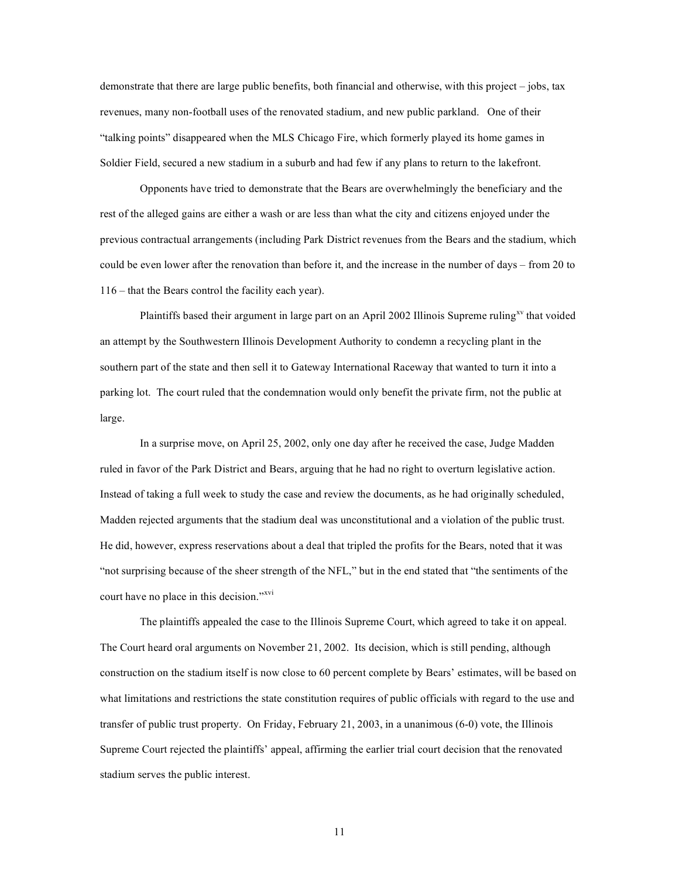demonstrate that there are large public benefits, both financial and otherwise, with this project – jobs, tax revenues, many non-football uses of the renovated stadium, and new public parkland. One of their "talking points" disappeared when the MLS Chicago Fire, which formerly played its home games in Soldier Field, secured a new stadium in a suburb and had few if any plans to return to the lakefront.

Opponents have tried to demonstrate that the Bears are overwhelmingly the beneficiary and the rest of the alleged gains are either a wash or are less than what the city and citizens enjoyed under the previous contractual arrangements (including Park District revenues from the Bears and the stadium, which could be even lower after the renovation than before it, and the increase in the number of days – from 20 to 116 – that the Bears control the facility each year).

Plaintiffs based their argument in large part on an April 2002 Illinois Supreme ruling<sup>xv</sup> that voided an attempt by the Southwestern Illinois Development Authority to condemn a recycling plant in the southern part of the state and then sell it to Gateway International Raceway that wanted to turn it into a parking lot. The court ruled that the condemnation would only benefit the private firm, not the public at large.

In a surprise move, on April 25, 2002, only one day after he received the case, Judge Madden ruled in favor of the Park District and Bears, arguing that he had no right to overturn legislative action. Instead of taking a full week to study the case and review the documents, as he had originally scheduled, Madden rejected arguments that the stadium deal was unconstitutional and a violation of the public trust. He did, however, express reservations about a deal that tripled the profits for the Bears, noted that it was "not surprising because of the sheer strength of the NFL," but in the end stated that "the sentiments of the court have no place in this decision."<sup>xvi</sup>

The plaintiffs appealed the case to the Illinois Supreme Court, which agreed to take it on appeal. The Court heard oral arguments on November 21, 2002. Its decision, which is still pending, although construction on the stadium itself is now close to 60 percent complete by Bears' estimates, will be based on what limitations and restrictions the state constitution requires of public officials with regard to the use and transfer of public trust property. On Friday, February 21, 2003, in a unanimous (6-0) vote, the Illinois Supreme Court rejected the plaintiffs' appeal, affirming the earlier trial court decision that the renovated stadium serves the public interest.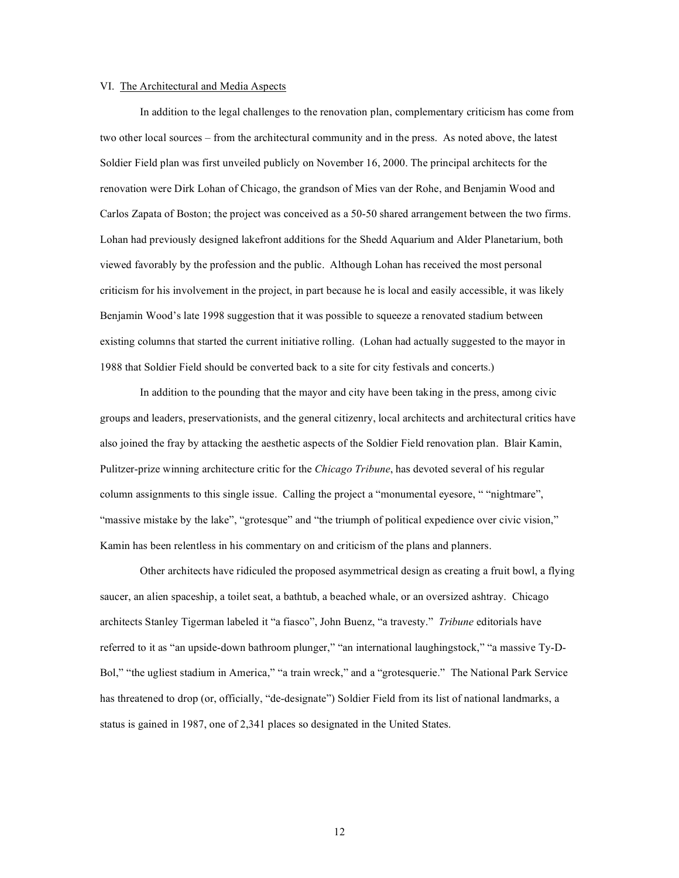## VI. The Architectural and Media Aspects

In addition to the legal challenges to the renovation plan, complementary criticism has come from two other local sources – from the architectural community and in the press. As noted above, the latest Soldier Field plan was first unveiled publicly on November 16, 2000. The principal architects for the renovation were Dirk Lohan of Chicago, the grandson of Mies van der Rohe, and Benjamin Wood and Carlos Zapata of Boston; the project was conceived as a 50-50 shared arrangement between the two firms. Lohan had previously designed lakefront additions for the Shedd Aquarium and Alder Planetarium, both viewed favorably by the profession and the public. Although Lohan has received the most personal criticism for his involvement in the project, in part because he is local and easily accessible, it was likely Benjamin Wood's late 1998 suggestion that it was possible to squeeze a renovated stadium between existing columns that started the current initiative rolling. (Lohan had actually suggested to the mayor in 1988 that Soldier Field should be converted back to a site for city festivals and concerts.)

In addition to the pounding that the mayor and city have been taking in the press, among civic groups and leaders, preservationists, and the general citizenry, local architects and architectural critics have also joined the fray by attacking the aesthetic aspects of the Soldier Field renovation plan. Blair Kamin, Pulitzer-prize winning architecture critic for the *Chicago Tribune*, has devoted several of his regular column assignments to this single issue. Calling the project a "monumental eyesore, " "nightmare", "massive mistake by the lake", "grotesque" and "the triumph of political expedience over civic vision," Kamin has been relentless in his commentary on and criticism of the plans and planners.

Other architects have ridiculed the proposed asymmetrical design as creating a fruit bowl, a flying saucer, an alien spaceship, a toilet seat, a bathtub, a beached whale, or an oversized ashtray. Chicago architects Stanley Tigerman labeled it "a fiasco", John Buenz, "a travesty." *Tribune* editorials have referred to it as "an upside-down bathroom plunger," "an international laughingstock," "a massive Ty-D-Bol," "the ugliest stadium in America," "a train wreck," and a "grotesquerie." The National Park Service has threatened to drop (or, officially, "de-designate") Soldier Field from its list of national landmarks, a status is gained in 1987, one of 2,341 places so designated in the United States.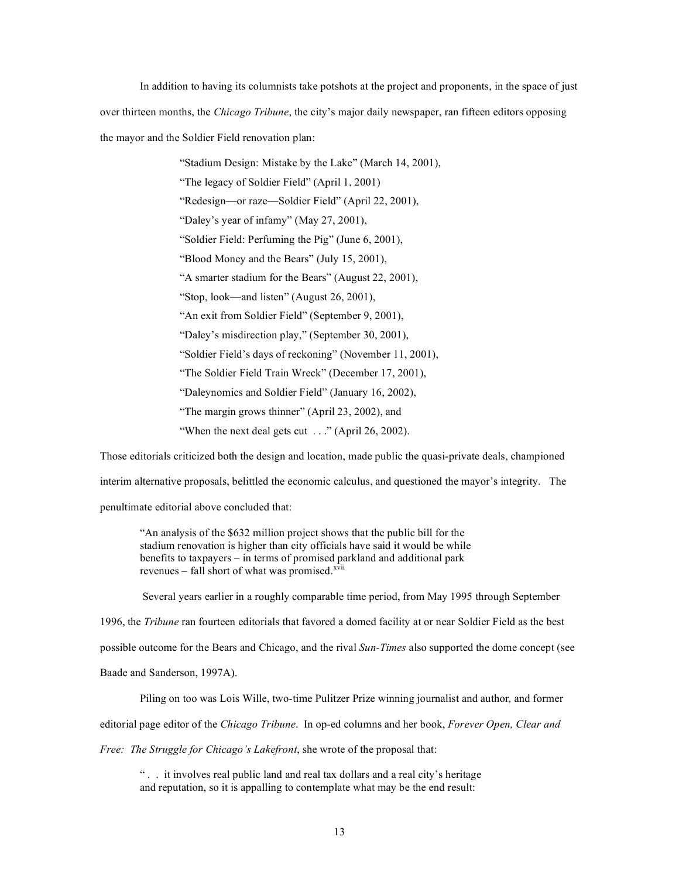In addition to having its columnists take potshots at the project and proponents, in the space of just over thirteen months, the *Chicago Tribune*, the city's major daily newspaper, ran fifteen editors opposing the mayor and the Soldier Field renovation plan:

"Stadium Design: Mistake by the Lake" (March 14, 2001),

"The legacy of Soldier Field" (April 1, 2001)

"Redesign—or raze—Soldier Field" (April 22, 2001),

"Daley's year of infamy" (May 27, 2001),

"Soldier Field: Perfuming the Pig" (June 6, 2001),

"Blood Money and the Bears" (July 15, 2001),

"A smarter stadium for the Bears" (August 22, 2001),

"Stop, look—and listen" (August 26, 2001),

"An exit from Soldier Field" (September 9, 2001),

"Daley's misdirection play," (September 30, 2001),

"Soldier Field's days of reckoning" (November 11, 2001),

"The Soldier Field Train Wreck" (December 17, 2001),

"Daleynomics and Soldier Field" (January 16, 2002),

"The margin grows thinner" (April 23, 2002), and

"When the next deal gets cut  $\ldots$ " (April 26, 2002).

Those editorials criticized both the design and location, made public the quasi-private deals, championed

interim alternative proposals, belittled the economic calculus, and questioned the mayor's integrity. The

penultimate editorial above concluded that:

"An analysis of the \$632 million project shows that the public bill for the stadium renovation is higher than city officials have said it would be while benefits to taxpayers – in terms of promised parkland and additional park revenues  $-$  fall short of what was promised. $x^{\text{vii}}$ 

Several years earlier in a roughly comparable time period, from May 1995 through September

1996, the *Tribune* ran fourteen editorials that favored a domed facility at or near Soldier Field as the best possible outcome for the Bears and Chicago, and the rival *Sun-Times* also supported the dome concept (see Baade and Sanderson, 1997A).

Piling on too was Lois Wille, two-time Pulitzer Prize winning journalist and author*,* and former editorial page editor of the *Chicago Tribune*. In op-ed columns and her book, *Forever Open, Clear and Free: The Struggle for Chicago's Lakefront*, she wrote of the proposal that:

" . . it involves real public land and real tax dollars and a real city's heritage and reputation, so it is appalling to contemplate what may be the end result: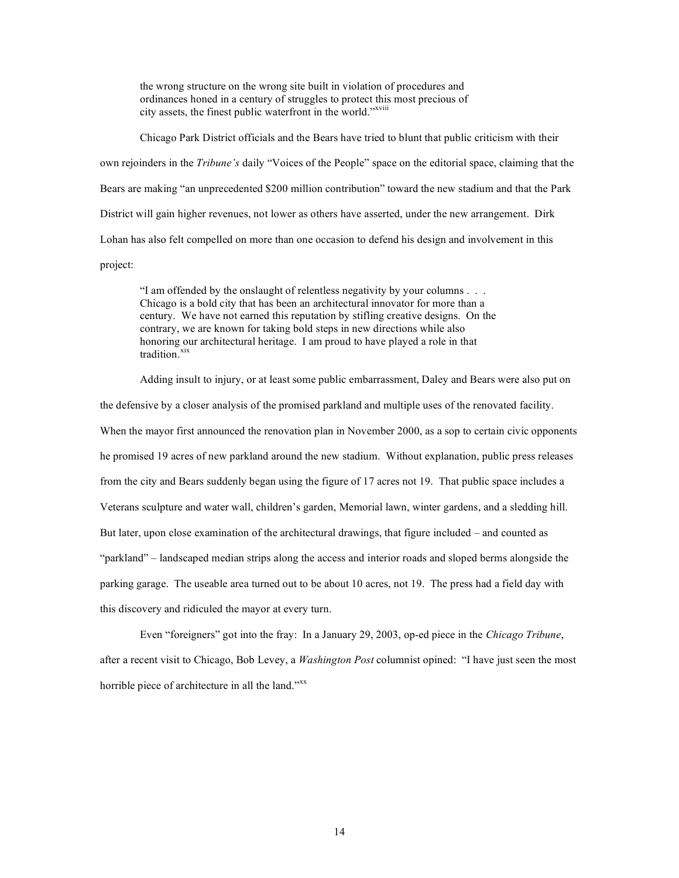the wrong structure on the wrong site built in violation of procedures and ordinances honed in a century of struggles to protect this most precious of city assets, the finest public waterfront in the world."<sup>xviii</sup>

Chicago Park District officials and the Bears have tried to blunt that public criticism with their own rejoinders in the *Tribune's* daily "Voices of the People" space on the editorial space, claiming that the Bears are making "an unprecedented \$200 million contribution" toward the new stadium and that the Park District will gain higher revenues, not lower as others have asserted, under the new arrangement. Dirk Lohan has also felt compelled on more than one occasion to defend his design and involvement in this project:

"I am offended by the onslaught of relentless negativity by your columns . . . Chicago is a bold city that has been an architectural innovator for more than a century. We have not earned this reputation by stifling creative designs. On the contrary, we are known for taking bold steps in new directions while also honoring our architectural heritage. I am proud to have played a role in that tradition. xix

Adding insult to injury, or at least some public embarrassment, Daley and Bears were also put on

the defensive by a closer analysis of the promised parkland and multiple uses of the renovated facility. When the mayor first announced the renovation plan in November 2000, as a sop to certain civic opponents he promised 19 acres of new parkland around the new stadium. Without explanation, public press releases from the city and Bears suddenly began using the figure of 17 acres not 19. That public space includes a Veterans sculpture and water wall, children's garden, Memorial lawn, winter gardens, and a sledding hill. But later, upon close examination of the architectural drawings, that figure included – and counted as "parkland" – landscaped median strips along the access and interior roads and sloped berms alongside the parking garage. The useable area turned out to be about 10 acres, not 19. The press had a field day with

this discovery and ridiculed the mayor at every turn.

Even "foreigners" got into the fray: In a January 29, 2003, op-ed piece in the *Chicago Tribune*, after a recent visit to Chicago, Bob Levey, a *Washington Post* columnist opined: "I have just seen the most horrible piece of architecture in all the land."<sup>xx</sup>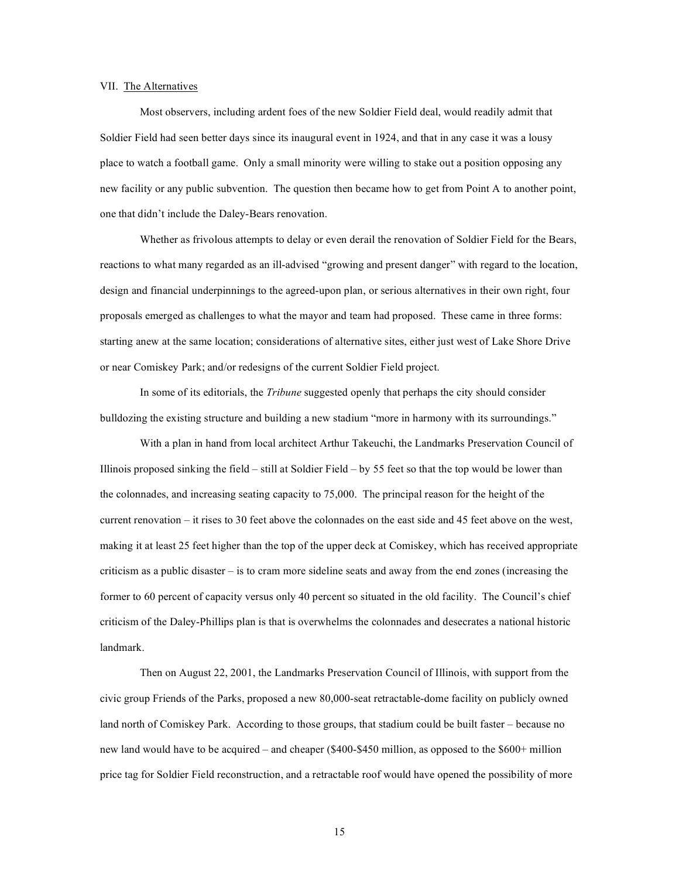# VII. The Alternatives

Most observers, including ardent foes of the new Soldier Field deal, would readily admit that Soldier Field had seen better days since its inaugural event in 1924, and that in any case it was a lousy place to watch a football game. Only a small minority were willing to stake out a position opposing any new facility or any public subvention. The question then became how to get from Point A to another point, one that didn't include the Daley-Bears renovation.

Whether as frivolous attempts to delay or even derail the renovation of Soldier Field for the Bears, reactions to what many regarded as an ill-advised "growing and present danger" with regard to the location, design and financial underpinnings to the agreed-upon plan, or serious alternatives in their own right, four proposals emerged as challenges to what the mayor and team had proposed. These came in three forms: starting anew at the same location; considerations of alternative sites, either just west of Lake Shore Drive or near Comiskey Park; and/or redesigns of the current Soldier Field project.

In some of its editorials, the *Tribune* suggested openly that perhaps the city should consider bulldozing the existing structure and building a new stadium "more in harmony with its surroundings."

With a plan in hand from local architect Arthur Takeuchi, the Landmarks Preservation Council of Illinois proposed sinking the field – still at Soldier Field – by 55 feet so that the top would be lower than the colonnades, and increasing seating capacity to 75,000. The principal reason for the height of the current renovation – it rises to 30 feet above the colonnades on the east side and 45 feet above on the west, making it at least 25 feet higher than the top of the upper deck at Comiskey, which has received appropriate criticism as a public disaster – is to cram more sideline seats and away from the end zones (increasing the former to 60 percent of capacity versus only 40 percent so situated in the old facility. The Council's chief criticism of the Daley-Phillips plan is that is overwhelms the colonnades and desecrates a national historic landmark.

Then on August 22, 2001, the Landmarks Preservation Council of Illinois, with support from the civic group Friends of the Parks, proposed a new 80,000-seat retractable-dome facility on publicly owned land north of Comiskey Park. According to those groups, that stadium could be built faster – because no new land would have to be acquired – and cheaper (\$400-\$450 million, as opposed to the \$600+ million price tag for Soldier Field reconstruction, and a retractable roof would have opened the possibility of more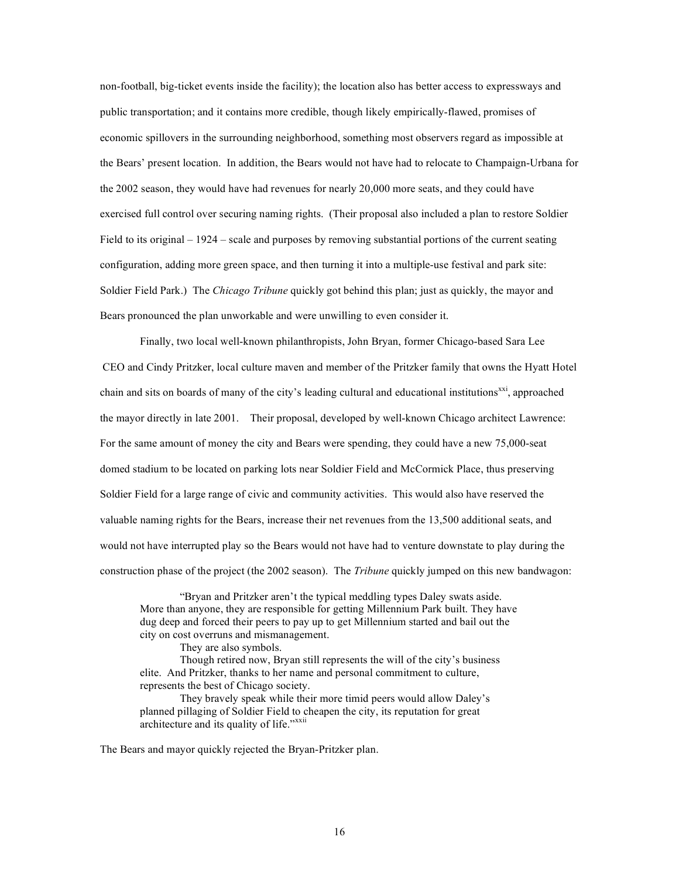non-football, big-ticket events inside the facility); the location also has better access to expressways and public transportation; and it contains more credible, though likely empirically-flawed, promises of economic spillovers in the surrounding neighborhood, something most observers regard as impossible at the Bears' present location. In addition, the Bears would not have had to relocate to Champaign-Urbana for the 2002 season, they would have had revenues for nearly 20,000 more seats, and they could have exercised full control over securing naming rights. (Their proposal also included a plan to restore Soldier Field to its original – 1924 – scale and purposes by removing substantial portions of the current seating configuration, adding more green space, and then turning it into a multiple-use festival and park site: Soldier Field Park.) The *Chicago Tribune* quickly got behind this plan; just as quickly, the mayor and Bears pronounced the plan unworkable and were unwilling to even consider it.

Finally, two local well-known philanthropists, John Bryan, former Chicago-based Sara Lee CEO and Cindy Pritzker, local culture maven and member of the Pritzker family that owns the Hyatt Hotel chain and sits on boards of many of the city's leading cultural and educational institutions<sup>xxi</sup>, approached the mayor directly in late 2001. Their proposal, developed by well-known Chicago architect Lawrence: For the same amount of money the city and Bears were spending, they could have a new 75,000-seat domed stadium to be located on parking lots near Soldier Field and McCormick Place, thus preserving Soldier Field for a large range of civic and community activities. This would also have reserved the valuable naming rights for the Bears, increase their net revenues from the 13,500 additional seats, and would not have interrupted play so the Bears would not have had to venture downstate to play during the construction phase of the project (the 2002 season). The *Tribune* quickly jumped on this new bandwagon:

"Bryan and Pritzker aren't the typical meddling types Daley swats aside. More than anyone, they are responsible for getting Millennium Park built. They have dug deep and forced their peers to pay up to get Millennium started and bail out the city on cost overruns and mismanagement.

They are also symbols.

Though retired now, Bryan still represents the will of the city's business elite. And Pritzker, thanks to her name and personal commitment to culture, represents the best of Chicago society.

They bravely speak while their more timid peers would allow Daley's planned pillaging of Soldier Field to cheapen the city, its reputation for great architecture and its quality of life."<sup>xxii</sup>

The Bears and mayor quickly rejected the Bryan-Pritzker plan.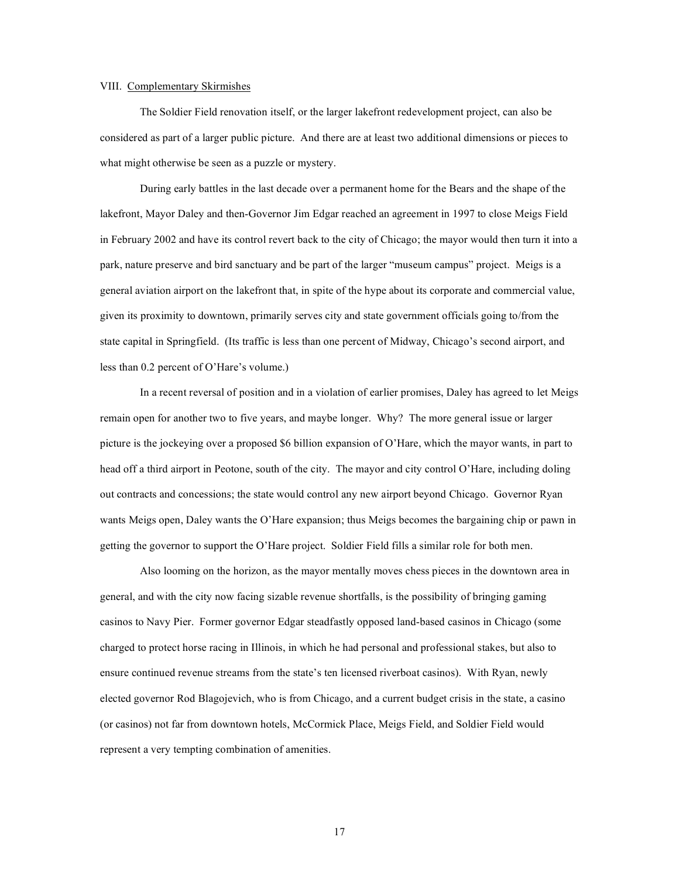## VIII. Complementary Skirmishes

The Soldier Field renovation itself, or the larger lakefront redevelopment project, can also be considered as part of a larger public picture. And there are at least two additional dimensions or pieces to what might otherwise be seen as a puzzle or mystery.

During early battles in the last decade over a permanent home for the Bears and the shape of the lakefront, Mayor Daley and then-Governor Jim Edgar reached an agreement in 1997 to close Meigs Field in February 2002 and have its control revert back to the city of Chicago; the mayor would then turn it into a park, nature preserve and bird sanctuary and be part of the larger "museum campus" project. Meigs is a general aviation airport on the lakefront that, in spite of the hype about its corporate and commercial value, given its proximity to downtown, primarily serves city and state government officials going to/from the state capital in Springfield. (Its traffic is less than one percent of Midway, Chicago's second airport, and less than 0.2 percent of O'Hare's volume.)

In a recent reversal of position and in a violation of earlier promises, Daley has agreed to let Meigs remain open for another two to five years, and maybe longer. Why? The more general issue or larger picture is the jockeying over a proposed \$6 billion expansion of O'Hare, which the mayor wants, in part to head off a third airport in Peotone, south of the city. The mayor and city control O'Hare, including doling out contracts and concessions; the state would control any new airport beyond Chicago. Governor Ryan wants Meigs open, Daley wants the O'Hare expansion; thus Meigs becomes the bargaining chip or pawn in getting the governor to support the O'Hare project. Soldier Field fills a similar role for both men.

Also looming on the horizon, as the mayor mentally moves chess pieces in the downtown area in general, and with the city now facing sizable revenue shortfalls, is the possibility of bringing gaming casinos to Navy Pier. Former governor Edgar steadfastly opposed land-based casinos in Chicago (some charged to protect horse racing in Illinois, in which he had personal and professional stakes, but also to ensure continued revenue streams from the state's ten licensed riverboat casinos). With Ryan, newly elected governor Rod Blagojevich, who is from Chicago, and a current budget crisis in the state, a casino (or casinos) not far from downtown hotels, McCormick Place, Meigs Field, and Soldier Field would represent a very tempting combination of amenities.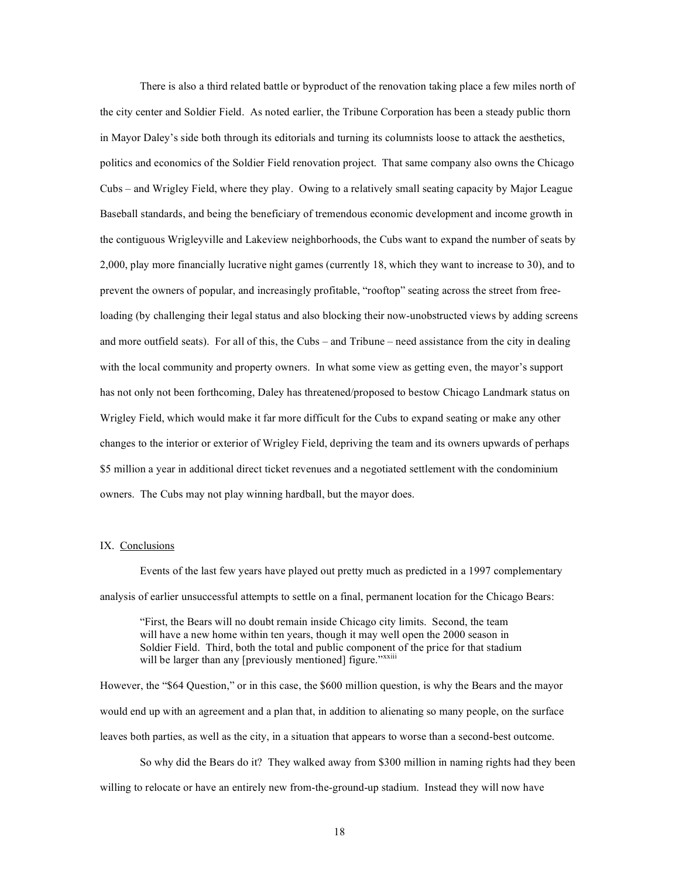There is also a third related battle or byproduct of the renovation taking place a few miles north of the city center and Soldier Field. As noted earlier, the Tribune Corporation has been a steady public thorn in Mayor Daley's side both through its editorials and turning its columnists loose to attack the aesthetics, politics and economics of the Soldier Field renovation project. That same company also owns the Chicago Cubs – and Wrigley Field, where they play. Owing to a relatively small seating capacity by Major League Baseball standards, and being the beneficiary of tremendous economic development and income growth in the contiguous Wrigleyville and Lakeview neighborhoods, the Cubs want to expand the number of seats by 2,000, play more financially lucrative night games (currently 18, which they want to increase to 30), and to prevent the owners of popular, and increasingly profitable, "rooftop" seating across the street from freeloading (by challenging their legal status and also blocking their now-unobstructed views by adding screens and more outfield seats). For all of this, the Cubs – and Tribune – need assistance from the city in dealing with the local community and property owners. In what some view as getting even, the mayor's support has not only not been forthcoming, Daley has threatened/proposed to bestow Chicago Landmark status on Wrigley Field, which would make it far more difficult for the Cubs to expand seating or make any other changes to the interior or exterior of Wrigley Field, depriving the team and its owners upwards of perhaps \$5 million a year in additional direct ticket revenues and a negotiated settlement with the condominium owners. The Cubs may not play winning hardball, but the mayor does.

### IX. Conclusions

Events of the last few years have played out pretty much as predicted in a 1997 complementary analysis of earlier unsuccessful attempts to settle on a final, permanent location for the Chicago Bears:

"First, the Bears will no doubt remain inside Chicago city limits. Second, the team will have a new home within ten years, though it may well open the 2000 season in Soldier Field. Third, both the total and public component of the price for that stadium will be larger than any [previously mentioned] figure."<sup>xxiii</sup>

However, the "\$64 Question," or in this case, the \$600 million question, is why the Bears and the mayor would end up with an agreement and a plan that, in addition to alienating so many people, on the surface leaves both parties, as well as the city, in a situation that appears to worse than a second-best outcome.

So why did the Bears do it? They walked away from \$300 million in naming rights had they been willing to relocate or have an entirely new from-the-ground-up stadium. Instead they will now have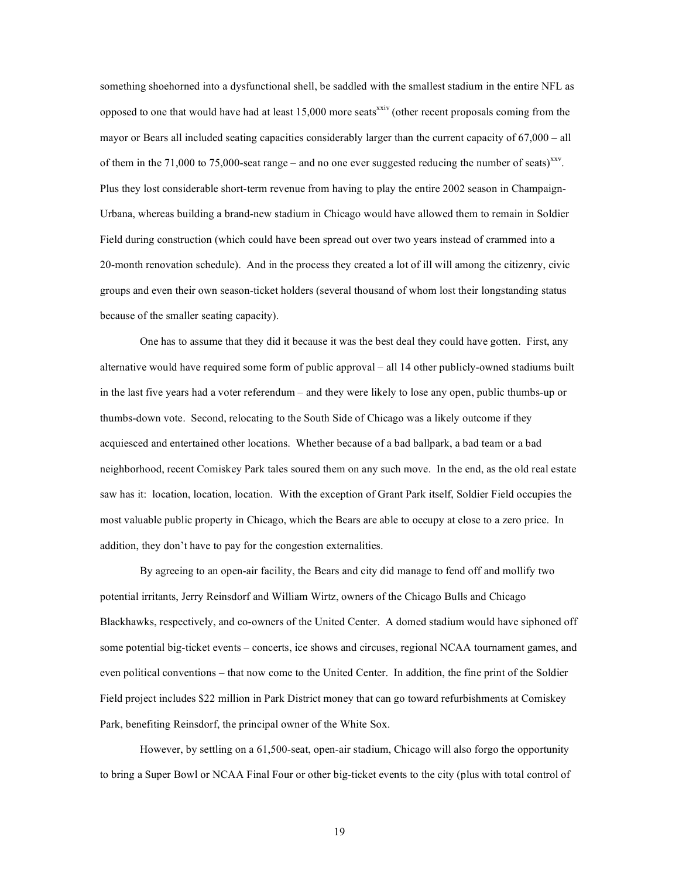something shoehorned into a dysfunctional shell, be saddled with the smallest stadium in the entire NFL as opposed to one that would have had at least  $15,000$  more seats<sup>xxiv</sup> (other recent proposals coming from the mayor or Bears all included seating capacities considerably larger than the current capacity of 67,000 – all of them in the 71,000 to 75,000-seat range – and no one ever suggested reducing the number of seats)<sup>xxv</sup>. Plus they lost considerable short-term revenue from having to play the entire 2002 season in Champaign-Urbana, whereas building a brand-new stadium in Chicago would have allowed them to remain in Soldier Field during construction (which could have been spread out over two years instead of crammed into a 20-month renovation schedule). And in the process they created a lot of ill will among the citizenry, civic groups and even their own season-ticket holders (several thousand of whom lost their longstanding status because of the smaller seating capacity).

One has to assume that they did it because it was the best deal they could have gotten. First, any alternative would have required some form of public approval – all 14 other publicly-owned stadiums built in the last five years had a voter referendum – and they were likely to lose any open, public thumbs-up or thumbs-down vote. Second, relocating to the South Side of Chicago was a likely outcome if they acquiesced and entertained other locations. Whether because of a bad ballpark, a bad team or a bad neighborhood, recent Comiskey Park tales soured them on any such move. In the end, as the old real estate saw has it: location, location, location. With the exception of Grant Park itself, Soldier Field occupies the most valuable public property in Chicago, which the Bears are able to occupy at close to a zero price. In addition, they don't have to pay for the congestion externalities.

By agreeing to an open-air facility, the Bears and city did manage to fend off and mollify two potential irritants, Jerry Reinsdorf and William Wirtz, owners of the Chicago Bulls and Chicago Blackhawks, respectively, and co-owners of the United Center. A domed stadium would have siphoned off some potential big-ticket events – concerts, ice shows and circuses, regional NCAA tournament games, and even political conventions – that now come to the United Center. In addition, the fine print of the Soldier Field project includes \$22 million in Park District money that can go toward refurbishments at Comiskey Park, benefiting Reinsdorf, the principal owner of the White Sox.

However, by settling on a 61,500-seat, open-air stadium, Chicago will also forgo the opportunity to bring a Super Bowl or NCAA Final Four or other big-ticket events to the city (plus with total control of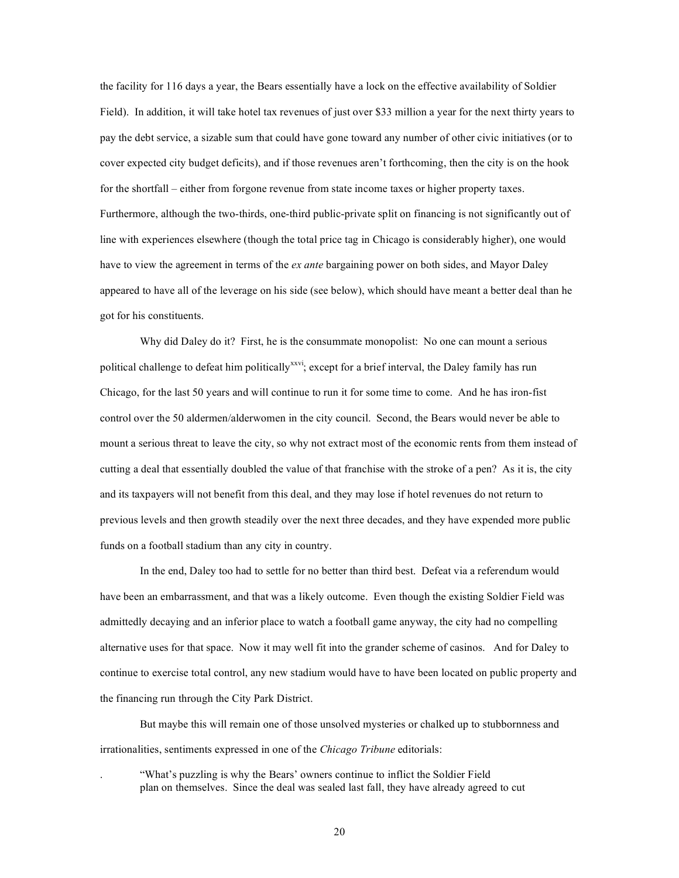the facility for 116 days a year, the Bears essentially have a lock on the effective availability of Soldier Field). In addition, it will take hotel tax revenues of just over \$33 million a year for the next thirty years to pay the debt service, a sizable sum that could have gone toward any number of other civic initiatives (or to cover expected city budget deficits), and if those revenues aren't forthcoming, then the city is on the hook for the shortfall – either from forgone revenue from state income taxes or higher property taxes. Furthermore, although the two-thirds, one-third public-private split on financing is not significantly out of line with experiences elsewhere (though the total price tag in Chicago is considerably higher), one would have to view the agreement in terms of the *ex ante* bargaining power on both sides, and Mayor Daley appeared to have all of the leverage on his side (see below), which should have meant a better deal than he got for his constituents.

Why did Daley do it? First, he is the consummate monopolist: No one can mount a serious political challenge to defeat him politically<sup>xxvi</sup>; except for a brief interval, the Daley family has run Chicago, for the last 50 years and will continue to run it for some time to come. And he has iron-fist control over the 50 aldermen/alderwomen in the city council. Second, the Bears would never be able to mount a serious threat to leave the city, so why not extract most of the economic rents from them instead of cutting a deal that essentially doubled the value of that franchise with the stroke of a pen? As it is, the city and its taxpayers will not benefit from this deal, and they may lose if hotel revenues do not return to previous levels and then growth steadily over the next three decades, and they have expended more public funds on a football stadium than any city in country.

In the end, Daley too had to settle for no better than third best. Defeat via a referendum would have been an embarrassment, and that was a likely outcome. Even though the existing Soldier Field was admittedly decaying and an inferior place to watch a football game anyway, the city had no compelling alternative uses for that space. Now it may well fit into the grander scheme of casinos. And for Daley to continue to exercise total control, any new stadium would have to have been located on public property and the financing run through the City Park District.

But maybe this will remain one of those unsolved mysteries or chalked up to stubbornness and irrationalities, sentiments expressed in one of the *Chicago Tribune* editorials:

. "What's puzzling is why the Bears' owners continue to inflict the Soldier Field plan on themselves. Since the deal was sealed last fall, they have already agreed to cut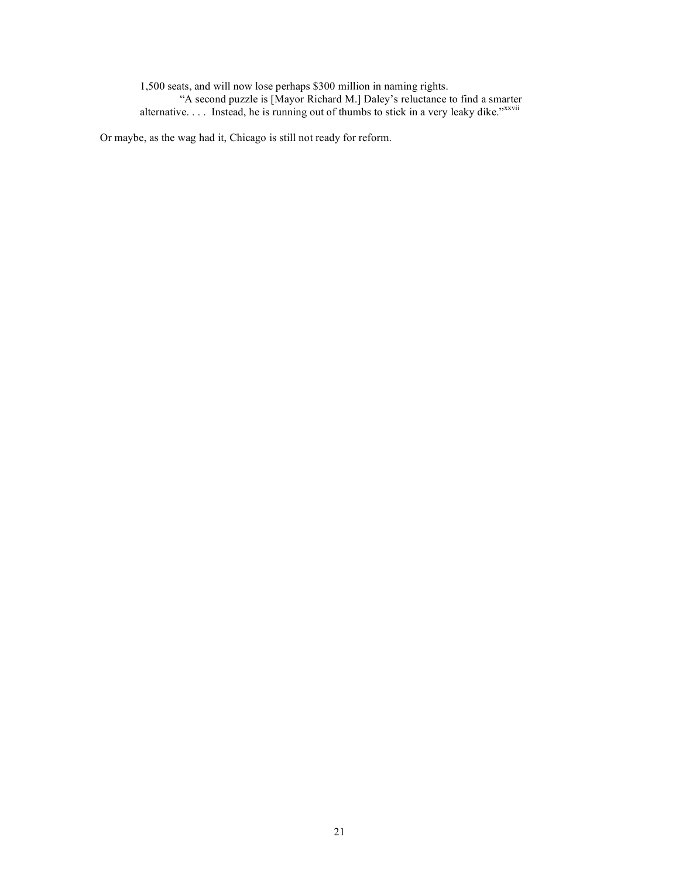1,500 seats, and will now lose perhaps \$300 million in naming rights. "A second puzzle is [Mayor Richard M.] Daley's reluctance to find a smarter alternative. . . . Instead, he is running out of thumbs to stick in a very leaky dike."xxvii

Or maybe, as the wag had it, Chicago is still not ready for reform.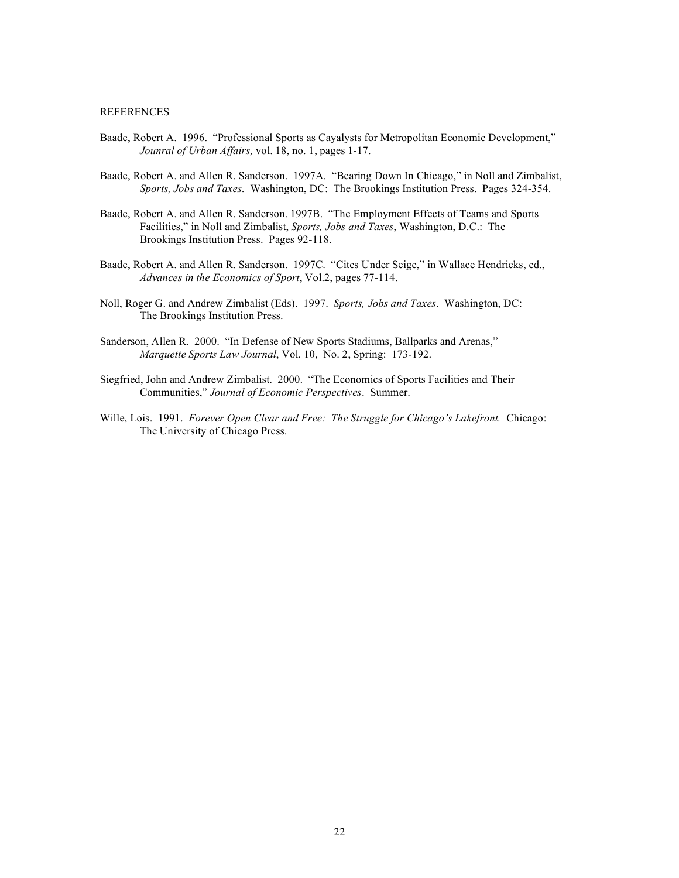### **REFERENCES**

- Baade, Robert A. 1996. "Professional Sports as Cayalysts for Metropolitan Economic Development," *Jounral of Urban Affairs,* vol. 18, no. 1, pages 1-17.
- Baade, Robert A. and Allen R. Sanderson. 1997A. "Bearing Down In Chicago," in Noll and Zimbalist, *Sports, Jobs and Taxes.* Washington, DC: The Brookings Institution Press. Pages 324-354.
- Baade, Robert A. and Allen R. Sanderson. 1997B. "The Employment Effects of Teams and Sports Facilities," in Noll and Zimbalist, *Sports, Jobs and Taxes*, Washington, D.C.: The Brookings Institution Press. Pages 92-118.
- Baade, Robert A. and Allen R. Sanderson. 1997C. "Cites Under Seige," in Wallace Hendricks, ed., *Advances in the Economics of Sport*, Vol.2, pages 77-114.
- Noll, Roger G. and Andrew Zimbalist (Eds). 1997. *Sports, Jobs and Taxes*. Washington, DC: The Brookings Institution Press.
- Sanderson, Allen R. 2000. "In Defense of New Sports Stadiums, Ballparks and Arenas," *Marquette Sports Law Journal*, Vol. 10, No. 2, Spring: 173-192.
- Siegfried, John and Andrew Zimbalist. 2000. "The Economics of Sports Facilities and Their Communities," *Journal of Economic Perspectives*. Summer.
- Wille, Lois. 1991. *Forever Open Clear and Free: The Struggle for Chicago's Lakefront.* Chicago: The University of Chicago Press.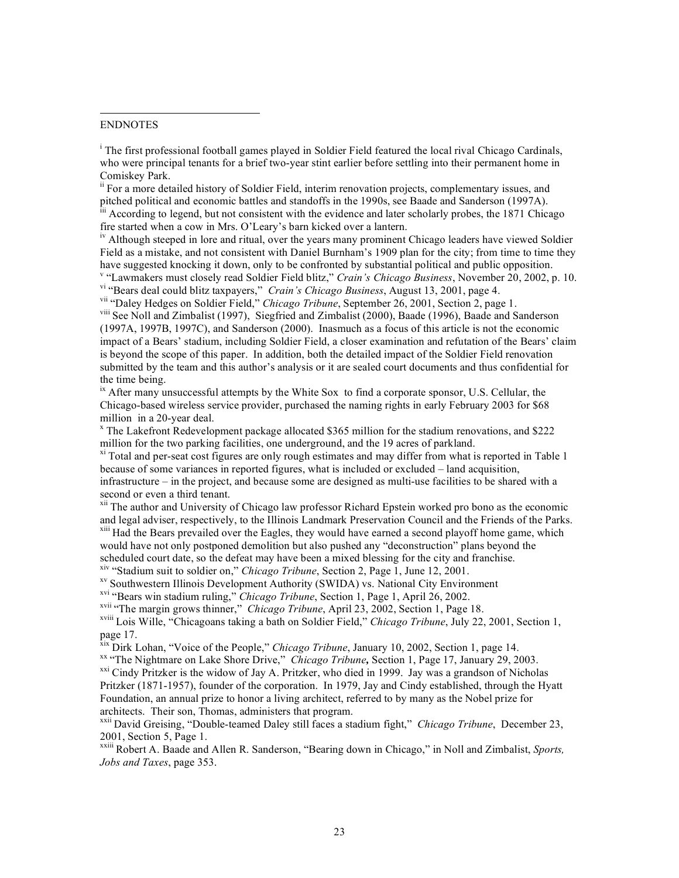## ENDNOTES

1

<sup>i</sup> The first professional football games played in Soldier Field featured the local rival Chicago Cardinals, who were principal tenants for a brief two-year stint earlier before settling into their permanent home in Comiskey Park.

<sup>ii</sup> For a more detailed history of Soldier Field, interim renovation projects, complementary issues, and pitched political and economic battles and standoffs in the 1990s, see Baade and Sanderson (1997A). <sup>iii</sup> According to legend, but not consistent with the evidence and later scholarly probes, the 1871 Chicago fire started when a cow in Mrs. O'Leary's barn kicked over a lantern.

<sup>iv</sup> Although steeped in lore and ritual, over the years many prominent Chicago leaders have viewed Soldier Field as a mistake, and not consistent with Daniel Burnham's 1909 plan for the city; from time to time they have suggested knocking it down, only to be confronted by substantial political and public opposition.<br><sup>v</sup> "Lawmakers must closely read Soldier Field blitz," *Crain's Chicago Business*, November 20, 2002, p. 10.

<sup>vi</sup> "Bears deal could blitz taxpayers," *Crain's Chicago Business*, August 13, 2001, page 4.

<sup>vii</sup> "Daley Hedges on Soldier Field," *Chicago Tribune*, September 26, 2001, Section 2, page 1. viii See Noll and Zimbalist (1997), Siegfried and Zimbalist (2000), Baade (1996), Baade and Sanderson

(1997A, 1997B, 1997C), and Sanderson (2000). Inasmuch as a focus of this article is not the economic impact of a Bears' stadium, including Soldier Field, a closer examination and refutation of the Bears' claim is beyond the scope of this paper. In addition, both the detailed impact of the Soldier Field renovation submitted by the team and this author's analysis or it are sealed court documents and thus confidential for the time being.<br>ix After many unsuccessful attempts by the White Sox to find a corporate sponsor, U.S. Cellular, the

Chicago-based wireless service provider, purchased the naming rights in early February 2003 for \$68 million in a 20-year deal.<br><sup>x</sup> The Lakefront Redevelopment package allocated \$365 million for the stadium renovations, and \$222

million for the two parking facilities, one underground, and the 19 acres of parkland.

 $\frac{x_i}{x_i}$  Total and per-seat cost figures are only rough estimates and may differ from what is reported in Table 1 because of some variances in reported figures, what is included or excluded – land acquisition,

infrastructure – in the project, and because some are designed as multi-use facilities to be shared with a second or even a third tenant.

<sup>xii</sup> The author and University of Chicago law professor Richard Epstein worked pro bono as the economic and legal adviser, respectively, to the Illinois Landmark Preservation Council and the Friends of the Parks. <sup>xiii</sup> Had the Bears prevailed over the Eagles, they would have earned a second playoff home game, which would have not only postponed demolition but also pushed any "deconstruction" plans beyond the

scheduled court date, so the defeat may have been a mixed blessing for the city and franchise.<br>
<sup>xiv</sup> "Stadium suit to soldier on," *Chicago Tribune*, Section 2, Page 1, June 12, 2001.<br>
<sup>xv</sup> Southwestern Illinois Developme

<sup>xvi</sup> "Bears win stadium ruling," *Chicago Tribune*, Section 1, Page 1, April 26, 2002.<br><sup>xvii</sup> "The margin group thinner," *Chicago Tribune*, April 22, 2002, Section 1, Beac.

<sup>xvii</sup> "The margin grows thinner," *Chicago Tribune*, April 23, 2002, Section 1, Page 18.<br><sup>xviii</sup> Lois Wille, "Chicagoons teking a beth on Soldier Field," *Chicago Tribune*, July 22.

Lois Wille, "Chicagoans taking a bath on Soldier Field," *Chicago Tribune*, July 22, 2001, Section 1, page 17.<br><sup>xix</sup> Dirk Lohan, "Voice of the People," *Chicago Tribune*, January 10, 2002, Section 1, page 14.<br><sup>xx</sup> "The Nightmare on Lake Shore Drive," *Chicago Tribune*, Section 1, Page 17, January 29, 2003.

 $\frac{xxi}{xxi}$  Cindy Pritzker is the widow of Jay A. Pritzker, who died in 1999. Jay was a grandson of Nicholas Pritzker (1871-1957), founder of the corporation. In 1979, Jay and Cindy established, through the Hyatt Foundation, an annual prize to honor a living architect, referred to by many as the Nobel prize for architects. Their son, Thomas, administers that program.

David Greising, "Double-teamed Daley still faces a stadium fight," *Chicago Tribune*, December 23,  $2001$ , Section 5, Page 1.

Robert A. Baade and Allen R. Sanderson, "Bearing down in Chicago," in Noll and Zimbalist, *Sports, Jobs and Taxes*, page 353.